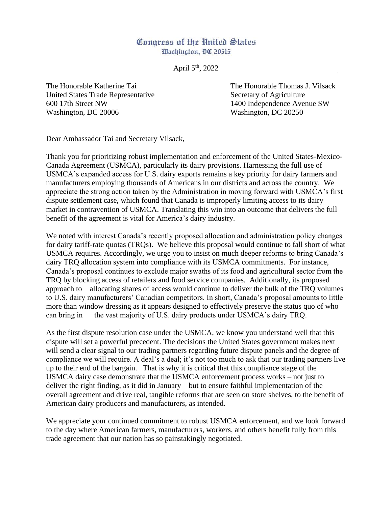## Congress of the United States Washington, DC 20515

April 5<sup>th</sup>, 2022

The Honorable Katherine Tai The Honorable Thomas J. Vilsack United States Trade Representative Secretary of Agriculture 600 17th Street NW 1400 Independence Avenue SW Washington, DC 20006 Washington, DC 20250

Dear Ambassador Tai and Secretary Vilsack,

Thank you for prioritizing robust implementation and enforcement of the United States-Mexico-Canada Agreement (USMCA), particularly its dairy provisions. Harnessing the full use of USMCA's expanded access for U.S. dairy exports remains a key priority for dairy farmers and manufacturers employing thousands of Americans in our districts and across the country. We appreciate the strong action taken by the Administration in moving forward with USMCA's first dispute settlement case, which found that Canada is improperly limiting access to its dairy market in contravention of USMCA. Translating this win into an outcome that delivers the full benefit of the agreement is vital for America's dairy industry.

We noted with interest Canada's recently proposed allocation and administration policy changes for dairy tariff-rate quotas (TRQs). We believe this proposal would continue to fall short of what USMCA requires. Accordingly, we urge you to insist on much deeper reforms to bring Canada's dairy TRQ allocation system into compliance with its USMCA commitments. For instance, Canada's proposal continues to exclude major swaths of its food and agricultural sector from the TRQ by blocking access of retailers and food service companies. Additionally, its proposed approach to allocating shares of access would continue to deliver the bulk of the TRQ volumes to U.S. dairy manufacturers' Canadian competitors. In short, Canada's proposal amounts to little more than window dressing as it appears designed to effectively preserve the status quo of who can bring in the vast majority of U.S. dairy products under USMCA's dairy TRQ.

As the first dispute resolution case under the USMCA, we know you understand well that this dispute will set a powerful precedent. The decisions the United States government makes next will send a clear signal to our trading partners regarding future dispute panels and the degree of compliance we will require. A deal's a deal; it's not too much to ask that our trading partners live up to their end of the bargain. That is why it is critical that this compliance stage of the USMCA dairy case demonstrate that the USMCA enforcement process works – not just to deliver the right finding, as it did in January – but to ensure faithful implementation of the overall agreement and drive real, tangible reforms that are seen on store shelves, to the benefit of American dairy producers and manufacturers, as intended.

We appreciate your continued commitment to robust USMCA enforcement, and we look forward to the day where American farmers, manufacturers, workers, and others benefit fully from this trade agreement that our nation has so painstakingly negotiated.